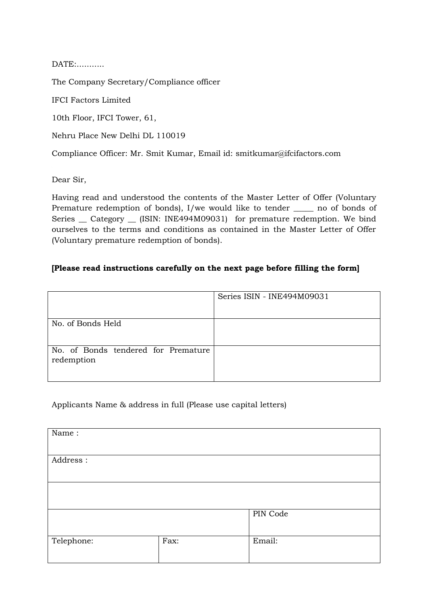DATE:...........

The Company Secretary/Compliance officer

IFCI Factors Limited

10th Floor, IFCI Tower, 61,

Nehru Place New Delhi DL 110019

Compliance Officer: Mr. Smit Kumar, Email id: smitkumar@ifcifactors.com

Dear Sir,

Having read and understood the contents of the Master Letter of Offer (Voluntary Premature redemption of bonds), I/we would like to tender \_\_\_\_\_ no of bonds of Series \_ Category \_ (ISIN: INE494M09031) for premature redemption. We bind ourselves to the terms and conditions as contained in the Master Letter of Offer (Voluntary premature redemption of bonds).

### **[Please read instructions carefully on the next page before filling the form]**

|                                                   | Series ISIN - INE494M09031 |
|---------------------------------------------------|----------------------------|
|                                                   |                            |
| No. of Bonds Held                                 |                            |
|                                                   |                            |
| No. of Bonds tendered for Premature<br>redemption |                            |

#### Applicants Name & address in full (Please use capital letters)

| Name:      |      |          |
|------------|------|----------|
| Address:   |      |          |
|            |      |          |
|            |      | PIN Code |
| Telephone: | Fax: | Email:   |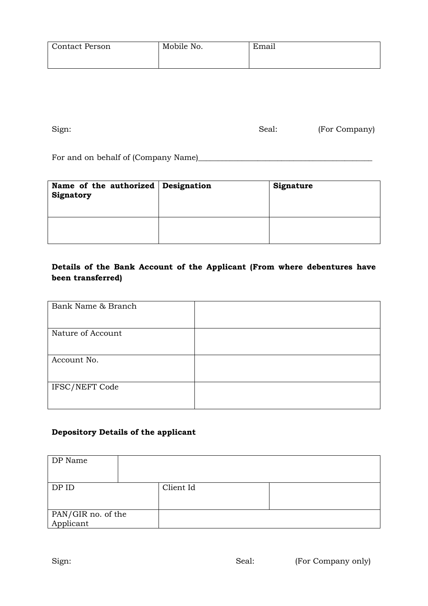| <b>Contact Person</b> | Mobile No. | Email |
|-----------------------|------------|-------|
|                       |            |       |

Sign: Seal: (For Company)

For and on behalf of (Company Name)\_\_\_\_\_\_\_\_\_\_\_\_\_\_\_\_\_\_\_\_\_\_\_\_\_\_\_\_\_\_\_\_\_\_\_\_\_\_\_\_\_\_\_\_

| Name of the authorized   Designation<br>Signatory | Signature |
|---------------------------------------------------|-----------|
|                                                   |           |

# **Details of the Bank Account of the Applicant (From where debentures have been transferred)**

| Bank Name & Branch |  |
|--------------------|--|
| Nature of Account  |  |
| Account No.        |  |
| IFSC/NEFT Code     |  |

# **Depository Details of the applicant**

| DP Name                         |           |  |
|---------------------------------|-----------|--|
| DP ID                           | Client Id |  |
| PAN/GIR no. of the<br>Applicant |           |  |